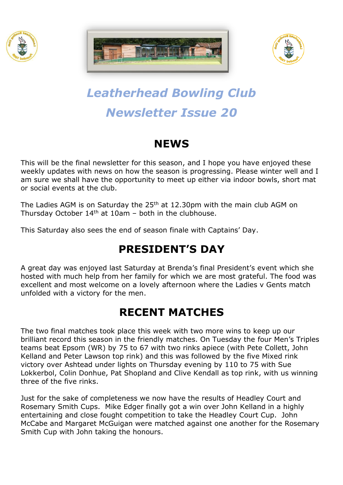





# *Leatherhead Bowling Club Newsletter Issue 20*

### **NEWS**

This will be the final newsletter for this season, and I hope you have enjoyed these weekly updates with news on how the season is progressing. Please winter well and I am sure we shall have the opportunity to meet up either via indoor bowls, short mat or social events at the club.

The Ladies AGM is on Saturday the 25<sup>th</sup> at 12.30pm with the main club AGM on Thursday October  $14<sup>th</sup>$  at 10am – both in the clubhouse.

This Saturday also sees the end of season finale with Captains' Day.

## **PRESIDENT'S DAY**

A great day was enjoyed last Saturday at Brenda's final President's event which she hosted with much help from her family for which we are most grateful. The food was excellent and most welcome on a lovely afternoon where the Ladies v Gents match unfolded with a victory for the men.

## **RECENT MATCHES**

The two final matches took place this week with two more wins to keep up our brilliant record this season in the friendly matches. On Tuesday the four Men's Triples teams beat Epsom (WR) by 75 to 67 with two rinks apiece (with Pete Collett, John Kelland and Peter Lawson top rink) and this was followed by the five Mixed rink victory over Ashtead under lights on Thursday evening by 110 to 75 with Sue Lokkerbol, Colin Donhue, Pat Shopland and Clive Kendall as top rink, with us winning three of the five rinks.

Just for the sake of completeness we now have the results of Headley Court and Rosemary Smith Cups. Mike Edger finally got a win over John Kelland in a highly entertaining and close fought competition to take the Headley Court Cup. John McCabe and Margaret McGuigan were matched against one another for the Rosemary Smith Cup with John taking the honours.